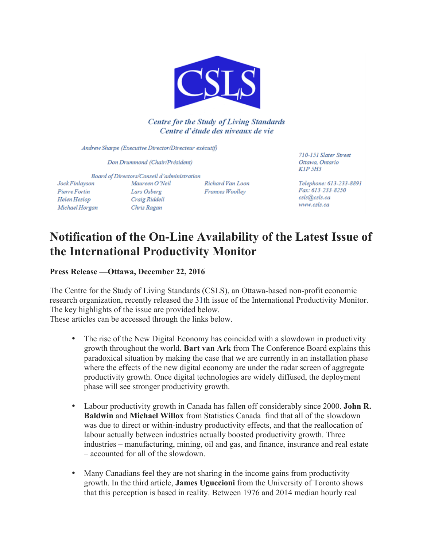

# **Centre for the Study of Living Standards** Centre d'étude des niveaux de vie

Andrew Sharpe (Executive Director/Directeur exécutif)

Don Drummond (Chair/Président)

Board of Directors/Conseil d'administration Jock Finlayson Maureen O'Neil Pierre Fortin Lars Osberg Craig Riddell Helen Heslop

Chris Ragan

Richard Van Loon Frances Woollev

710-151 Slater Street Ottawa, Ontario KIP 5H3

Telephone: 613-233-8891 Fax: 613-233-8250 csls@csls.ca www.csls.ca

# **Notification of the On-Line Availability of the Latest Issue of the International Productivity Monitor**

**Press Release —Ottawa, December 22, 2016**

Michael Horgan

The Centre for the Study of Living Standards (CSLS), an Ottawa-based non-profit economic research organization, recently released the 31th issue of the International Productivity Monitor. The key highlights of the issue are provided below.

These articles can be accessed through the links below.

- The rise of the New Digital Economy has coincided with a slowdown in productivity growth throughout the world. **Bart van Ark** from The Conference Board explains this paradoxical situation by making the case that we are currently in an installation phase where the effects of the new digital economy are under the radar screen of aggregate productivity growth. Once digital technologies are widely diffused, the deployment phase will see stronger productivity growth.
- Labour productivity growth in Canada has fallen off considerably since 2000. **John R. Baldwin** and **Michael Willox** from Statistics Canada find that all of the slowdown was due to direct or within-industry productivity effects, and that the reallocation of labour actually between industries actually boosted productivity growth. Three industries – manufacturing, mining, oil and gas, and finance, insurance and real estate – accounted for all of the slowdown.
- Many Canadians feel they are not sharing in the income gains from productivity growth. In the third article, **James Uguccioni** from the University of Toronto shows that this perception is based in reality. Between 1976 and 2014 median hourly real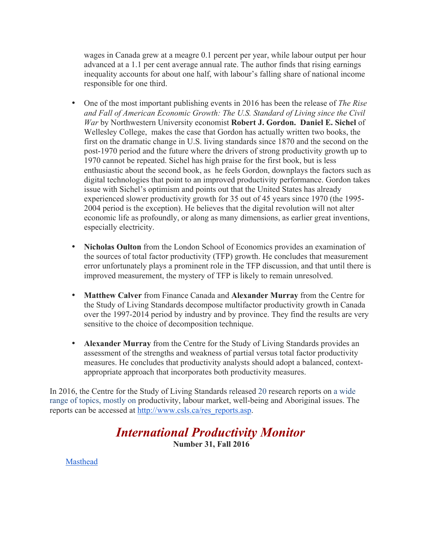wages in Canada grew at a meagre 0.1 percent per year, while labour output per hour advanced at a 1.1 per cent average annual rate. The author finds that rising earnings inequality accounts for about one half, with labour's falling share of national income responsible for one third.

- One of the most important publishing events in 2016 has been the release of *The Rise and Fall of American Economic Growth: The U.S. Standard of Living since the Civil War* by Northwestern University economist **Robert J. Gordon. Daniel E. Sichel** of Wellesley College, makes the case that Gordon has actually written two books, the first on the dramatic change in U.S. living standards since 1870 and the second on the post-1970 period and the future where the drivers of strong productivity growth up to 1970 cannot be repeated. Sichel has high praise for the first book, but is less enthusiastic about the second book, as he feels Gordon, downplays the factors such as digital technologies that point to an improved productivity performance. Gordon takes issue with Sichel's optimism and points out that the United States has already experienced slower productivity growth for 35 out of 45 years since 1970 (the 1995- 2004 period is the exception). He believes that the digital revolution will not alter economic life as profoundly, or along as many dimensions, as earlier great inventions, especially electricity.
- **Nicholas Oulton** from the London School of Economics provides an examination of the sources of total factor productivity (TFP) growth. He concludes that measurement error unfortunately plays a prominent role in the TFP discussion, and that until there is improved measurement, the mystery of TFP is likely to remain unresolved.
- **Matthew Calver** from Finance Canada and **Alexander Murray** from the Centre for the Study of Living Standards decompose multifactor productivity growth in Canada over the 1997-2014 period by industry and by province. They find the results are very sensitive to the choice of decomposition technique.
- **Alexander Murray** from the Centre for the Study of Living Standards provides an assessment of the strengths and weakness of partial versus total factor productivity measures. He concludes that productivity analysts should adopt a balanced, contextappropriate approach that incorporates both productivity measures.

In 2016, the Centre for the Study of Living Standards released 20 research reports on a wide range of topics, mostly on productivity, labour market, well-being and Aboriginal issues. The reports can be accessed at http://www.csls.ca/res\_reports.asp.

# *International Productivity Monitor* **Number 31, Fall 2016**

Masthead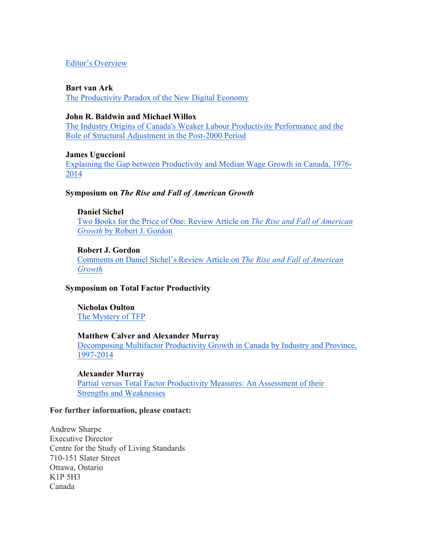# Editor's Overview

#### **Bart van Ark**

The Productivity Paradox of the New Digital Economy

#### **John R. Baldwin and Michael Willox**

The Industry Origins of Canada's Weaker Labour Productivity Performance and the Role of Structural Adjustment in the Post-2000 Period

#### **James Uguccioni**

Explaining the Gap between Productivity and Median Wage Growth in Canada, 1976- 2014

#### **Symposium on** *The Rise and Fall of American Growth*

#### **Daniel Sichel**

Two Books for the Price of One: Review Article on *The Rise and Fall of American Growth* by Robert J. Gordon

#### **Robert J. Gordon**

Comments on Daniel Sichel's Review Article on *The Rise and Fall of American Growth*

# **Symposium on Total Factor Productivity**

**Nicholas Oulton** The Mystery of TFP

#### **Matthew Calver and Alexander Murray**

Decomposing Multifactor Productivity Growth in Canada by Industry and Province, 1997-2014

#### **Alexander Murray**

Partial versus Total Factor Productivity Measures: An Assessment of their Strengths and Weaknesses

#### **For further information, please contact:**

Andrew Sharpe Executive Director Centre for the Study of Living Standards 710-151 Slater Street Ottawa, Ontario K1P 5H3 Canada